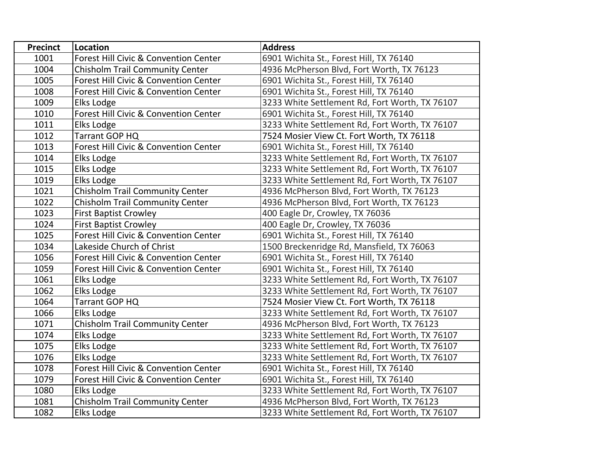| <b>Precinct</b> | Location                                         | <b>Address</b>                                 |
|-----------------|--------------------------------------------------|------------------------------------------------|
| 1001            | <b>Forest Hill Civic &amp; Convention Center</b> | 6901 Wichita St., Forest Hill, TX 76140        |
| 1004            | <b>Chisholm Trail Community Center</b>           | 4936 McPherson Blvd, Fort Worth, TX 76123      |
| 1005            | Forest Hill Civic & Convention Center            | 6901 Wichita St., Forest Hill, TX 76140        |
| 1008            | Forest Hill Civic & Convention Center            | 6901 Wichita St., Forest Hill, TX 76140        |
| 1009            | Elks Lodge                                       | 3233 White Settlement Rd, Fort Worth, TX 76107 |
| 1010            | Forest Hill Civic & Convention Center            | 6901 Wichita St., Forest Hill, TX 76140        |
| 1011            | Elks Lodge                                       | 3233 White Settlement Rd, Fort Worth, TX 76107 |
| 1012            | Tarrant GOP HQ                                   | 7524 Mosier View Ct. Fort Worth, TX 76118      |
| 1013            | Forest Hill Civic & Convention Center            | 6901 Wichita St., Forest Hill, TX 76140        |
| 1014            | Elks Lodge                                       | 3233 White Settlement Rd, Fort Worth, TX 76107 |
| 1015            | Elks Lodge                                       | 3233 White Settlement Rd, Fort Worth, TX 76107 |
| 1019            | Elks Lodge                                       | 3233 White Settlement Rd, Fort Worth, TX 76107 |
| 1021            | Chisholm Trail Community Center                  | 4936 McPherson Blvd, Fort Worth, TX 76123      |
| 1022            | <b>Chisholm Trail Community Center</b>           | 4936 McPherson Blvd, Fort Worth, TX 76123      |
| 1023            | <b>First Baptist Crowley</b>                     | 400 Eagle Dr, Crowley, TX 76036                |
| 1024            | <b>First Baptist Crowley</b>                     | 400 Eagle Dr, Crowley, TX 76036                |
| 1025            | Forest Hill Civic & Convention Center            | 6901 Wichita St., Forest Hill, TX 76140        |
| 1034            | Lakeside Church of Christ                        | 1500 Breckenridge Rd, Mansfield, TX 76063      |
| 1056            | Forest Hill Civic & Convention Center            | 6901 Wichita St., Forest Hill, TX 76140        |
| 1059            | Forest Hill Civic & Convention Center            | 6901 Wichita St., Forest Hill, TX 76140        |
| 1061            | Elks Lodge                                       | 3233 White Settlement Rd, Fort Worth, TX 76107 |
| 1062            | Elks Lodge                                       | 3233 White Settlement Rd, Fort Worth, TX 76107 |
| 1064            | Tarrant GOP HQ                                   | 7524 Mosier View Ct. Fort Worth, TX 76118      |
| 1066            | Elks Lodge                                       | 3233 White Settlement Rd, Fort Worth, TX 76107 |
| 1071            | <b>Chisholm Trail Community Center</b>           | 4936 McPherson Blvd, Fort Worth, TX 76123      |
| 1074            | Elks Lodge                                       | 3233 White Settlement Rd, Fort Worth, TX 76107 |
| 1075            | Elks Lodge                                       | 3233 White Settlement Rd, Fort Worth, TX 76107 |
| 1076            | Elks Lodge                                       | 3233 White Settlement Rd, Fort Worth, TX 76107 |
| 1078            | Forest Hill Civic & Convention Center            | 6901 Wichita St., Forest Hill, TX 76140        |
| 1079            | Forest Hill Civic & Convention Center            | 6901 Wichita St., Forest Hill, TX 76140        |
| 1080            | Elks Lodge                                       | 3233 White Settlement Rd, Fort Worth, TX 76107 |
| 1081            | <b>Chisholm Trail Community Center</b>           | 4936 McPherson Blvd, Fort Worth, TX 76123      |
| 1082            | Elks Lodge                                       | 3233 White Settlement Rd, Fort Worth, TX 76107 |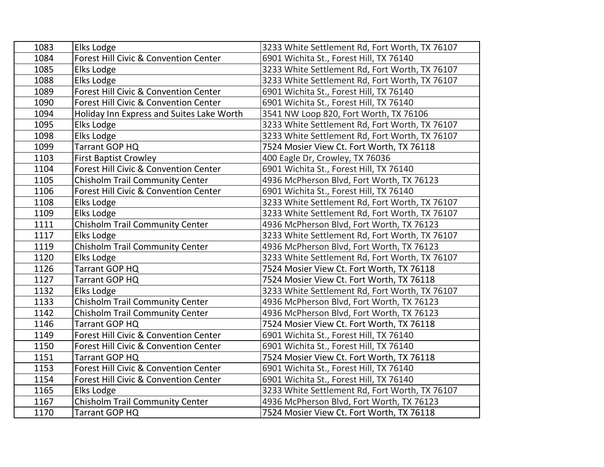| 1083 | Elks Lodge                                       | 3233 White Settlement Rd, Fort Worth, TX 76107 |
|------|--------------------------------------------------|------------------------------------------------|
| 1084 | Forest Hill Civic & Convention Center            | 6901 Wichita St., Forest Hill, TX 76140        |
| 1085 | Elks Lodge                                       | 3233 White Settlement Rd, Fort Worth, TX 76107 |
| 1088 | Elks Lodge                                       | 3233 White Settlement Rd, Fort Worth, TX 76107 |
| 1089 | Forest Hill Civic & Convention Center            | 6901 Wichita St., Forest Hill, TX 76140        |
| 1090 | <b>Forest Hill Civic &amp; Convention Center</b> | 6901 Wichita St., Forest Hill, TX 76140        |
| 1094 | Holiday Inn Express and Suites Lake Worth        | 3541 NW Loop 820, Fort Worth, TX 76106         |
| 1095 | Elks Lodge                                       | 3233 White Settlement Rd, Fort Worth, TX 76107 |
| 1098 | Elks Lodge                                       | 3233 White Settlement Rd, Fort Worth, TX 76107 |
| 1099 | Tarrant GOP HQ                                   | 7524 Mosier View Ct. Fort Worth, TX 76118      |
| 1103 | <b>First Baptist Crowley</b>                     | 400 Eagle Dr, Crowley, TX 76036                |
| 1104 | Forest Hill Civic & Convention Center            | 6901 Wichita St., Forest Hill, TX 76140        |
| 1105 | <b>Chisholm Trail Community Center</b>           | 4936 McPherson Blvd, Fort Worth, TX 76123      |
| 1106 | <b>Forest Hill Civic &amp; Convention Center</b> | 6901 Wichita St., Forest Hill, TX 76140        |
| 1108 | Elks Lodge                                       | 3233 White Settlement Rd, Fort Worth, TX 76107 |
| 1109 | Elks Lodge                                       | 3233 White Settlement Rd, Fort Worth, TX 76107 |
| 1111 | <b>Chisholm Trail Community Center</b>           | 4936 McPherson Blvd, Fort Worth, TX 76123      |
| 1117 | Elks Lodge                                       | 3233 White Settlement Rd, Fort Worth, TX 76107 |
| 1119 | Chisholm Trail Community Center                  | 4936 McPherson Blvd, Fort Worth, TX 76123      |
| 1120 | Elks Lodge                                       | 3233 White Settlement Rd, Fort Worth, TX 76107 |
| 1126 | Tarrant GOP HQ                                   | 7524 Mosier View Ct. Fort Worth, TX 76118      |
| 1127 | Tarrant GOP HQ                                   | 7524 Mosier View Ct. Fort Worth, TX 76118      |
| 1132 | Elks Lodge                                       | 3233 White Settlement Rd, Fort Worth, TX 76107 |
| 1133 | <b>Chisholm Trail Community Center</b>           | 4936 McPherson Blvd, Fort Worth, TX 76123      |
| 1142 | <b>Chisholm Trail Community Center</b>           | 4936 McPherson Blvd, Fort Worth, TX 76123      |
| 1146 | Tarrant GOP HQ                                   | 7524 Mosier View Ct. Fort Worth, TX 76118      |
| 1149 | Forest Hill Civic & Convention Center            | 6901 Wichita St., Forest Hill, TX 76140        |
| 1150 | Forest Hill Civic & Convention Center            | 6901 Wichita St., Forest Hill, TX 76140        |
| 1151 | Tarrant GOP HQ                                   | 7524 Mosier View Ct. Fort Worth, TX 76118      |
| 1153 | Forest Hill Civic & Convention Center            | 6901 Wichita St., Forest Hill, TX 76140        |
| 1154 | <b>Forest Hill Civic &amp; Convention Center</b> | 6901 Wichita St., Forest Hill, TX 76140        |
| 1165 | Elks Lodge                                       | 3233 White Settlement Rd, Fort Worth, TX 76107 |
| 1167 | <b>Chisholm Trail Community Center</b>           | 4936 McPherson Blvd, Fort Worth, TX 76123      |
| 1170 | Tarrant GOP HQ                                   | 7524 Mosier View Ct. Fort Worth, TX 76118      |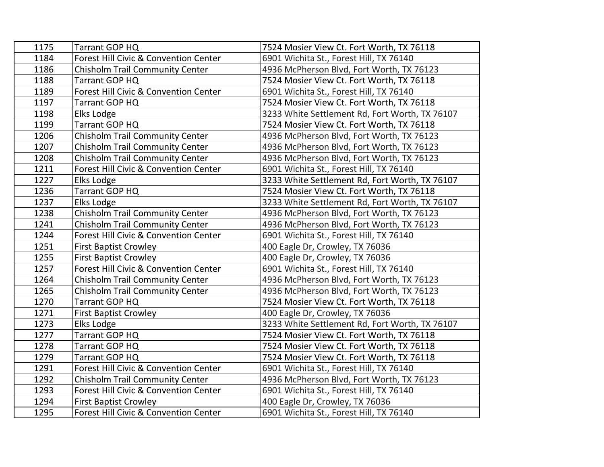| 1175 | Tarrant GOP HQ                         | 7524 Mosier View Ct. Fort Worth, TX 76118      |
|------|----------------------------------------|------------------------------------------------|
| 1184 | Forest Hill Civic & Convention Center  | 6901 Wichita St., Forest Hill, TX 76140        |
| 1186 | <b>Chisholm Trail Community Center</b> | 4936 McPherson Blvd, Fort Worth, TX 76123      |
| 1188 | Tarrant GOP HQ                         | 7524 Mosier View Ct. Fort Worth, TX 76118      |
| 1189 | Forest Hill Civic & Convention Center  | 6901 Wichita St., Forest Hill, TX 76140        |
| 1197 | Tarrant GOP HQ                         | 7524 Mosier View Ct. Fort Worth, TX 76118      |
| 1198 | Elks Lodge                             | 3233 White Settlement Rd, Fort Worth, TX 76107 |
| 1199 | Tarrant GOP HQ                         | 7524 Mosier View Ct. Fort Worth, TX 76118      |
| 1206 | Chisholm Trail Community Center        | 4936 McPherson Blvd, Fort Worth, TX 76123      |
| 1207 | <b>Chisholm Trail Community Center</b> | 4936 McPherson Blvd, Fort Worth, TX 76123      |
| 1208 | <b>Chisholm Trail Community Center</b> | 4936 McPherson Blvd, Fort Worth, TX 76123      |
| 1211 | Forest Hill Civic & Convention Center  | 6901 Wichita St., Forest Hill, TX 76140        |
| 1227 | Elks Lodge                             | 3233 White Settlement Rd, Fort Worth, TX 76107 |
| 1236 | Tarrant GOP HQ                         | 7524 Mosier View Ct. Fort Worth, TX 76118      |
| 1237 | Elks Lodge                             | 3233 White Settlement Rd, Fort Worth, TX 76107 |
| 1238 | Chisholm Trail Community Center        | 4936 McPherson Blvd, Fort Worth, TX 76123      |
| 1241 | <b>Chisholm Trail Community Center</b> | 4936 McPherson Blvd, Fort Worth, TX 76123      |
| 1244 | Forest Hill Civic & Convention Center  | 6901 Wichita St., Forest Hill, TX 76140        |
| 1251 | <b>First Baptist Crowley</b>           | 400 Eagle Dr, Crowley, TX 76036                |
| 1255 | <b>First Baptist Crowley</b>           | 400 Eagle Dr, Crowley, TX 76036                |
| 1257 | Forest Hill Civic & Convention Center  | 6901 Wichita St., Forest Hill, TX 76140        |
| 1264 | Chisholm Trail Community Center        | 4936 McPherson Blvd, Fort Worth, TX 76123      |
| 1265 | <b>Chisholm Trail Community Center</b> | 4936 McPherson Blvd, Fort Worth, TX 76123      |
| 1270 | Tarrant GOP HQ                         | 7524 Mosier View Ct. Fort Worth, TX 76118      |
| 1271 | <b>First Baptist Crowley</b>           | 400 Eagle Dr, Crowley, TX 76036                |
| 1273 | Elks Lodge                             | 3233 White Settlement Rd, Fort Worth, TX 76107 |
| 1277 | Tarrant GOP HQ                         | 7524 Mosier View Ct. Fort Worth, TX 76118      |
| 1278 | Tarrant GOP HQ                         | 7524 Mosier View Ct. Fort Worth, TX 76118      |
| 1279 | Tarrant GOP HQ                         | 7524 Mosier View Ct. Fort Worth, TX 76118      |
| 1291 | Forest Hill Civic & Convention Center  | 6901 Wichita St., Forest Hill, TX 76140        |
| 1292 | Chisholm Trail Community Center        | 4936 McPherson Blvd, Fort Worth, TX 76123      |
| 1293 | Forest Hill Civic & Convention Center  | 6901 Wichita St., Forest Hill, TX 76140        |
| 1294 | <b>First Baptist Crowley</b>           | 400 Eagle Dr, Crowley, TX 76036                |
| 1295 | Forest Hill Civic & Convention Center  | 6901 Wichita St., Forest Hill, TX 76140        |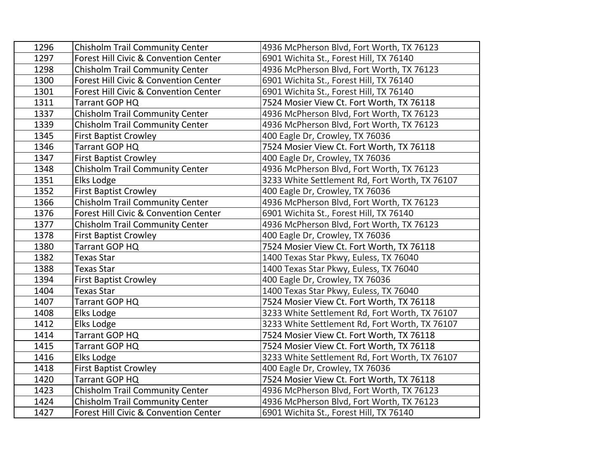| 1296 | <b>Chisholm Trail Community Center</b> | 4936 McPherson Blvd, Fort Worth, TX 76123      |
|------|----------------------------------------|------------------------------------------------|
| 1297 | Forest Hill Civic & Convention Center  | 6901 Wichita St., Forest Hill, TX 76140        |
| 1298 | <b>Chisholm Trail Community Center</b> | 4936 McPherson Blvd, Fort Worth, TX 76123      |
| 1300 | Forest Hill Civic & Convention Center  | 6901 Wichita St., Forest Hill, TX 76140        |
| 1301 | Forest Hill Civic & Convention Center  | 6901 Wichita St., Forest Hill, TX 76140        |
| 1311 | Tarrant GOP HQ                         | 7524 Mosier View Ct. Fort Worth, TX 76118      |
| 1337 | <b>Chisholm Trail Community Center</b> | 4936 McPherson Blvd, Fort Worth, TX 76123      |
| 1339 | <b>Chisholm Trail Community Center</b> | 4936 McPherson Blvd, Fort Worth, TX 76123      |
| 1345 | <b>First Baptist Crowley</b>           | 400 Eagle Dr, Crowley, TX 76036                |
| 1346 | Tarrant GOP HQ                         | 7524 Mosier View Ct. Fort Worth, TX 76118      |
| 1347 | <b>First Baptist Crowley</b>           | 400 Eagle Dr, Crowley, TX 76036                |
| 1348 | <b>Chisholm Trail Community Center</b> | 4936 McPherson Blvd, Fort Worth, TX 76123      |
| 1351 | Elks Lodge                             | 3233 White Settlement Rd, Fort Worth, TX 76107 |
| 1352 | <b>First Baptist Crowley</b>           | 400 Eagle Dr, Crowley, TX 76036                |
| 1366 | <b>Chisholm Trail Community Center</b> | 4936 McPherson Blvd, Fort Worth, TX 76123      |
| 1376 | Forest Hill Civic & Convention Center  | 6901 Wichita St., Forest Hill, TX 76140        |
| 1377 | <b>Chisholm Trail Community Center</b> | 4936 McPherson Blvd, Fort Worth, TX 76123      |
| 1378 | <b>First Baptist Crowley</b>           | 400 Eagle Dr, Crowley, TX 76036                |
| 1380 | Tarrant GOP HQ                         | 7524 Mosier View Ct. Fort Worth, TX 76118      |
| 1382 | <b>Texas Star</b>                      | 1400 Texas Star Pkwy, Euless, TX 76040         |
| 1388 | <b>Texas Star</b>                      | 1400 Texas Star Pkwy, Euless, TX 76040         |
| 1394 | <b>First Baptist Crowley</b>           | 400 Eagle Dr, Crowley, TX 76036                |
| 1404 | <b>Texas Star</b>                      | 1400 Texas Star Pkwy, Euless, TX 76040         |
| 1407 | Tarrant GOP HQ                         | 7524 Mosier View Ct. Fort Worth, TX 76118      |
| 1408 | Elks Lodge                             | 3233 White Settlement Rd, Fort Worth, TX 76107 |
| 1412 | Elks Lodge                             | 3233 White Settlement Rd, Fort Worth, TX 76107 |
| 1414 | Tarrant GOP HQ                         | 7524 Mosier View Ct. Fort Worth, TX 76118      |
| 1415 | Tarrant GOP HQ                         | 7524 Mosier View Ct. Fort Worth, TX 76118      |
| 1416 | Elks Lodge                             | 3233 White Settlement Rd, Fort Worth, TX 76107 |
| 1418 | <b>First Baptist Crowley</b>           | 400 Eagle Dr, Crowley, TX 76036                |
| 1420 | Tarrant GOP HQ                         | 7524 Mosier View Ct. Fort Worth, TX 76118      |
| 1423 | <b>Chisholm Trail Community Center</b> | 4936 McPherson Blvd, Fort Worth, TX 76123      |
| 1424 | <b>Chisholm Trail Community Center</b> | 4936 McPherson Blvd, Fort Worth, TX 76123      |
| 1427 | Forest Hill Civic & Convention Center  | 6901 Wichita St., Forest Hill, TX 76140        |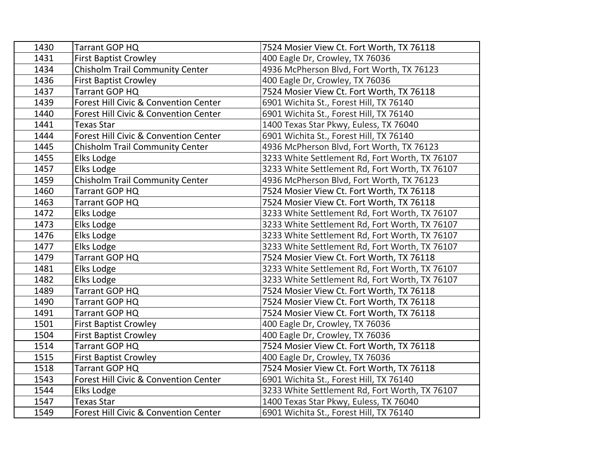| 1430 | Tarrant GOP HQ                         | 7524 Mosier View Ct. Fort Worth, TX 76118      |
|------|----------------------------------------|------------------------------------------------|
| 1431 | <b>First Baptist Crowley</b>           | 400 Eagle Dr, Crowley, TX 76036                |
| 1434 | <b>Chisholm Trail Community Center</b> | 4936 McPherson Blvd, Fort Worth, TX 76123      |
| 1436 | <b>First Baptist Crowley</b>           | 400 Eagle Dr, Crowley, TX 76036                |
| 1437 | Tarrant GOP HQ                         | 7524 Mosier View Ct. Fort Worth, TX 76118      |
| 1439 | Forest Hill Civic & Convention Center  | 6901 Wichita St., Forest Hill, TX 76140        |
| 1440 | Forest Hill Civic & Convention Center  | 6901 Wichita St., Forest Hill, TX 76140        |
| 1441 | <b>Texas Star</b>                      | 1400 Texas Star Pkwy, Euless, TX 76040         |
| 1444 | Forest Hill Civic & Convention Center  | 6901 Wichita St., Forest Hill, TX 76140        |
| 1445 | <b>Chisholm Trail Community Center</b> | 4936 McPherson Blvd, Fort Worth, TX 76123      |
| 1455 | Elks Lodge                             | 3233 White Settlement Rd, Fort Worth, TX 76107 |
| 1457 | Elks Lodge                             | 3233 White Settlement Rd, Fort Worth, TX 76107 |
| 1459 | <b>Chisholm Trail Community Center</b> | 4936 McPherson Blvd, Fort Worth, TX 76123      |
| 1460 | Tarrant GOP HQ                         | 7524 Mosier View Ct. Fort Worth, TX 76118      |
| 1463 | Tarrant GOP HQ                         | 7524 Mosier View Ct. Fort Worth, TX 76118      |
| 1472 | Elks Lodge                             | 3233 White Settlement Rd, Fort Worth, TX 76107 |
| 1473 | Elks Lodge                             | 3233 White Settlement Rd, Fort Worth, TX 76107 |
| 1476 | Elks Lodge                             | 3233 White Settlement Rd, Fort Worth, TX 76107 |
| 1477 | Elks Lodge                             | 3233 White Settlement Rd, Fort Worth, TX 76107 |
| 1479 | Tarrant GOP HQ                         | 7524 Mosier View Ct. Fort Worth, TX 76118      |
| 1481 | Elks Lodge                             | 3233 White Settlement Rd, Fort Worth, TX 76107 |
| 1482 | Elks Lodge                             | 3233 White Settlement Rd, Fort Worth, TX 76107 |
| 1489 | Tarrant GOP HQ                         | 7524 Mosier View Ct. Fort Worth, TX 76118      |
| 1490 | Tarrant GOP HQ                         | 7524 Mosier View Ct. Fort Worth, TX 76118      |
| 1491 | Tarrant GOP HQ                         | 7524 Mosier View Ct. Fort Worth, TX 76118      |
| 1501 | <b>First Baptist Crowley</b>           | 400 Eagle Dr, Crowley, TX 76036                |
| 1504 | <b>First Baptist Crowley</b>           | 400 Eagle Dr, Crowley, TX 76036                |
| 1514 | Tarrant GOP HQ                         | 7524 Mosier View Ct. Fort Worth, TX 76118      |
| 1515 | <b>First Baptist Crowley</b>           | 400 Eagle Dr, Crowley, TX 76036                |
| 1518 | Tarrant GOP HQ                         | 7524 Mosier View Ct. Fort Worth, TX 76118      |
| 1543 | Forest Hill Civic & Convention Center  | 6901 Wichita St., Forest Hill, TX 76140        |
| 1544 | Elks Lodge                             | 3233 White Settlement Rd, Fort Worth, TX 76107 |
| 1547 | <b>Texas Star</b>                      | 1400 Texas Star Pkwy, Euless, TX 76040         |
| 1549 | Forest Hill Civic & Convention Center  | 6901 Wichita St., Forest Hill, TX 76140        |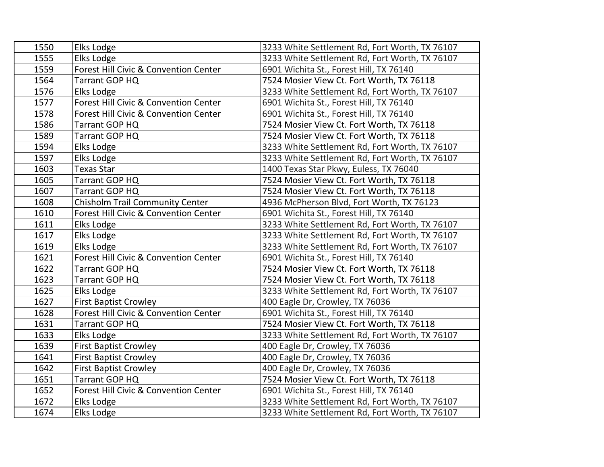| 1550 | Elks Lodge                             | 3233 White Settlement Rd, Fort Worth, TX 76107 |
|------|----------------------------------------|------------------------------------------------|
| 1555 | Elks Lodge                             | 3233 White Settlement Rd, Fort Worth, TX 76107 |
| 1559 | Forest Hill Civic & Convention Center  | 6901 Wichita St., Forest Hill, TX 76140        |
| 1564 | Tarrant GOP HQ                         | 7524 Mosier View Ct. Fort Worth, TX 76118      |
| 1576 | Elks Lodge                             | 3233 White Settlement Rd, Fort Worth, TX 76107 |
| 1577 | Forest Hill Civic & Convention Center  | 6901 Wichita St., Forest Hill, TX 76140        |
| 1578 | Forest Hill Civic & Convention Center  | 6901 Wichita St., Forest Hill, TX 76140        |
| 1586 | Tarrant GOP HQ                         | 7524 Mosier View Ct. Fort Worth, TX 76118      |
| 1589 | Tarrant GOP HQ                         | 7524 Mosier View Ct. Fort Worth, TX 76118      |
| 1594 | Elks Lodge                             | 3233 White Settlement Rd, Fort Worth, TX 76107 |
| 1597 | Elks Lodge                             | 3233 White Settlement Rd, Fort Worth, TX 76107 |
| 1603 | <b>Texas Star</b>                      | 1400 Texas Star Pkwy, Euless, TX 76040         |
| 1605 | Tarrant GOP HQ                         | 7524 Mosier View Ct. Fort Worth, TX 76118      |
| 1607 | Tarrant GOP HQ                         | 7524 Mosier View Ct. Fort Worth, TX 76118      |
| 1608 | <b>Chisholm Trail Community Center</b> | 4936 McPherson Blvd, Fort Worth, TX 76123      |
| 1610 | Forest Hill Civic & Convention Center  | 6901 Wichita St., Forest Hill, TX 76140        |
| 1611 | Elks Lodge                             | 3233 White Settlement Rd, Fort Worth, TX 76107 |
| 1617 | Elks Lodge                             | 3233 White Settlement Rd, Fort Worth, TX 76107 |
| 1619 | Elks Lodge                             | 3233 White Settlement Rd, Fort Worth, TX 76107 |
| 1621 | Forest Hill Civic & Convention Center  | 6901 Wichita St., Forest Hill, TX 76140        |
| 1622 | Tarrant GOP HQ                         | 7524 Mosier View Ct. Fort Worth, TX 76118      |
| 1623 | Tarrant GOP HQ                         | 7524 Mosier View Ct. Fort Worth, TX 76118      |
| 1625 | Elks Lodge                             | 3233 White Settlement Rd, Fort Worth, TX 76107 |
| 1627 | <b>First Baptist Crowley</b>           | 400 Eagle Dr, Crowley, TX 76036                |
| 1628 | Forest Hill Civic & Convention Center  | 6901 Wichita St., Forest Hill, TX 76140        |
| 1631 | Tarrant GOP HQ                         | 7524 Mosier View Ct. Fort Worth, TX 76118      |
| 1633 | Elks Lodge                             | 3233 White Settlement Rd, Fort Worth, TX 76107 |
| 1639 | <b>First Baptist Crowley</b>           | 400 Eagle Dr, Crowley, TX 76036                |
| 1641 | <b>First Baptist Crowley</b>           | 400 Eagle Dr, Crowley, TX 76036                |
| 1642 | <b>First Baptist Crowley</b>           | 400 Eagle Dr, Crowley, TX 76036                |
| 1651 | Tarrant GOP HQ                         | 7524 Mosier View Ct. Fort Worth, TX 76118      |
| 1652 | Forest Hill Civic & Convention Center  | 6901 Wichita St., Forest Hill, TX 76140        |
| 1672 | Elks Lodge                             | 3233 White Settlement Rd, Fort Worth, TX 76107 |
| 1674 | Elks Lodge                             | 3233 White Settlement Rd, Fort Worth, TX 76107 |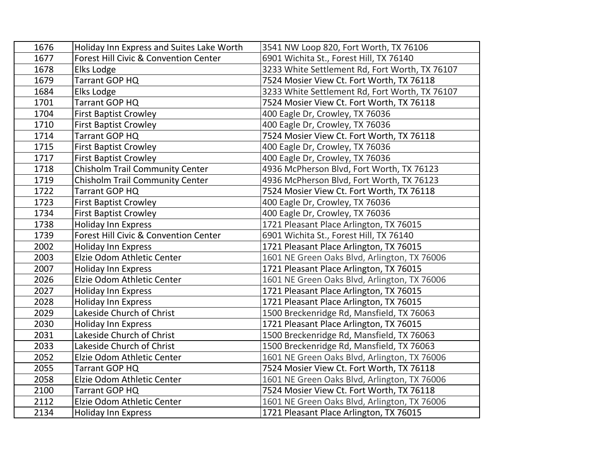| 1676 | Holiday Inn Express and Suites Lake Worth | 3541 NW Loop 820, Fort Worth, TX 76106         |
|------|-------------------------------------------|------------------------------------------------|
| 1677 | Forest Hill Civic & Convention Center     | 6901 Wichita St., Forest Hill, TX 76140        |
| 1678 | Elks Lodge                                | 3233 White Settlement Rd, Fort Worth, TX 76107 |
| 1679 | Tarrant GOP HQ                            | 7524 Mosier View Ct. Fort Worth, TX 76118      |
| 1684 | Elks Lodge                                | 3233 White Settlement Rd, Fort Worth, TX 76107 |
| 1701 | Tarrant GOP HQ                            | 7524 Mosier View Ct. Fort Worth, TX 76118      |
| 1704 | <b>First Baptist Crowley</b>              | 400 Eagle Dr, Crowley, TX 76036                |
| 1710 | <b>First Baptist Crowley</b>              | 400 Eagle Dr, Crowley, TX 76036                |
| 1714 | Tarrant GOP HQ                            | 7524 Mosier View Ct. Fort Worth, TX 76118      |
| 1715 | <b>First Baptist Crowley</b>              | 400 Eagle Dr, Crowley, TX 76036                |
| 1717 | <b>First Baptist Crowley</b>              | 400 Eagle Dr, Crowley, TX 76036                |
| 1718 | <b>Chisholm Trail Community Center</b>    | 4936 McPherson Blvd, Fort Worth, TX 76123      |
| 1719 | Chisholm Trail Community Center           | 4936 McPherson Blvd, Fort Worth, TX 76123      |
| 1722 | Tarrant GOP HQ                            | 7524 Mosier View Ct. Fort Worth, TX 76118      |
| 1723 | <b>First Baptist Crowley</b>              | 400 Eagle Dr, Crowley, TX 76036                |
| 1734 | <b>First Baptist Crowley</b>              | 400 Eagle Dr, Crowley, TX 76036                |
| 1738 | <b>Holiday Inn Express</b>                | 1721 Pleasant Place Arlington, TX 76015        |
| 1739 | Forest Hill Civic & Convention Center     | 6901 Wichita St., Forest Hill, TX 76140        |
| 2002 | <b>Holiday Inn Express</b>                | 1721 Pleasant Place Arlington, TX 76015        |
| 2003 | Elzie Odom Athletic Center                | 1601 NE Green Oaks Blvd, Arlington, TX 76006   |
| 2007 | <b>Holiday Inn Express</b>                | 1721 Pleasant Place Arlington, TX 76015        |
| 2026 | Elzie Odom Athletic Center                | 1601 NE Green Oaks Blvd, Arlington, TX 76006   |
| 2027 | <b>Holiday Inn Express</b>                | 1721 Pleasant Place Arlington, TX 76015        |
| 2028 | <b>Holiday Inn Express</b>                | 1721 Pleasant Place Arlington, TX 76015        |
| 2029 | Lakeside Church of Christ                 | 1500 Breckenridge Rd, Mansfield, TX 76063      |
| 2030 | <b>Holiday Inn Express</b>                | 1721 Pleasant Place Arlington, TX 76015        |
| 2031 | Lakeside Church of Christ                 | 1500 Breckenridge Rd, Mansfield, TX 76063      |
| 2033 | Lakeside Church of Christ                 | 1500 Breckenridge Rd, Mansfield, TX 76063      |
| 2052 | Elzie Odom Athletic Center                | 1601 NE Green Oaks Blvd, Arlington, TX 76006   |
| 2055 | Tarrant GOP HQ                            | 7524 Mosier View Ct. Fort Worth, TX 76118      |
| 2058 | Elzie Odom Athletic Center                | 1601 NE Green Oaks Blvd, Arlington, TX 76006   |
| 2100 | Tarrant GOP HQ                            | 7524 Mosier View Ct. Fort Worth, TX 76118      |
| 2112 | Elzie Odom Athletic Center                | 1601 NE Green Oaks Blvd, Arlington, TX 76006   |
| 2134 | <b>Holiday Inn Express</b>                | 1721 Pleasant Place Arlington, TX 76015        |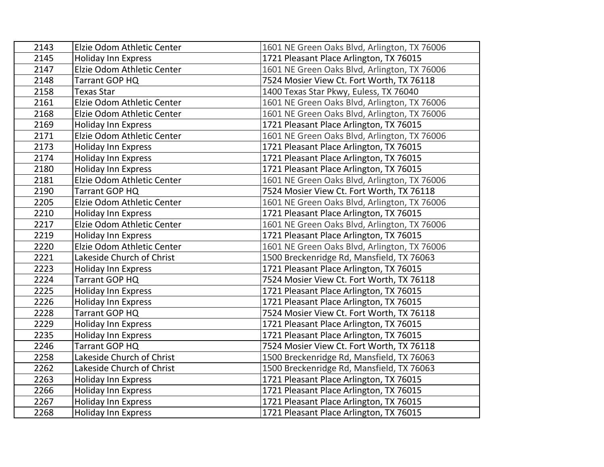| 2143 | Elzie Odom Athletic Center | 1601 NE Green Oaks Blvd, Arlington, TX 76006 |
|------|----------------------------|----------------------------------------------|
| 2145 | <b>Holiday Inn Express</b> | 1721 Pleasant Place Arlington, TX 76015      |
| 2147 | Elzie Odom Athletic Center | 1601 NE Green Oaks Blvd, Arlington, TX 76006 |
| 2148 | Tarrant GOP HQ             | 7524 Mosier View Ct. Fort Worth, TX 76118    |
| 2158 | <b>Texas Star</b>          | 1400 Texas Star Pkwy, Euless, TX 76040       |
| 2161 | Elzie Odom Athletic Center | 1601 NE Green Oaks Blvd, Arlington, TX 76006 |
| 2168 | Elzie Odom Athletic Center | 1601 NE Green Oaks Blvd, Arlington, TX 76006 |
| 2169 | <b>Holiday Inn Express</b> | 1721 Pleasant Place Arlington, TX 76015      |
| 2171 | Elzie Odom Athletic Center | 1601 NE Green Oaks Blvd, Arlington, TX 76006 |
| 2173 | <b>Holiday Inn Express</b> | 1721 Pleasant Place Arlington, TX 76015      |
| 2174 | <b>Holiday Inn Express</b> | 1721 Pleasant Place Arlington, TX 76015      |
| 2180 | <b>Holiday Inn Express</b> | 1721 Pleasant Place Arlington, TX 76015      |
| 2181 | Elzie Odom Athletic Center | 1601 NE Green Oaks Blvd, Arlington, TX 76006 |
| 2190 | Tarrant GOP HQ             | 7524 Mosier View Ct. Fort Worth, TX 76118    |
| 2205 | Elzie Odom Athletic Center | 1601 NE Green Oaks Blvd, Arlington, TX 76006 |
| 2210 | <b>Holiday Inn Express</b> | 1721 Pleasant Place Arlington, TX 76015      |
| 2217 | Elzie Odom Athletic Center | 1601 NE Green Oaks Blvd, Arlington, TX 76006 |
| 2219 | <b>Holiday Inn Express</b> | 1721 Pleasant Place Arlington, TX 76015      |
| 2220 | Elzie Odom Athletic Center | 1601 NE Green Oaks Blvd, Arlington, TX 76006 |
| 2221 | Lakeside Church of Christ  | 1500 Breckenridge Rd, Mansfield, TX 76063    |
| 2223 | <b>Holiday Inn Express</b> | 1721 Pleasant Place Arlington, TX 76015      |
| 2224 | Tarrant GOP HQ             | 7524 Mosier View Ct. Fort Worth, TX 76118    |
| 2225 | <b>Holiday Inn Express</b> | 1721 Pleasant Place Arlington, TX 76015      |
| 2226 | <b>Holiday Inn Express</b> | 1721 Pleasant Place Arlington, TX 76015      |
| 2228 | Tarrant GOP HQ             | 7524 Mosier View Ct. Fort Worth, TX 76118    |
| 2229 | <b>Holiday Inn Express</b> | 1721 Pleasant Place Arlington, TX 76015      |
| 2235 | Holiday Inn Express        | 1721 Pleasant Place Arlington, TX 76015      |
| 2246 | Tarrant GOP HQ             | 7524 Mosier View Ct. Fort Worth, TX 76118    |
| 2258 | Lakeside Church of Christ  | 1500 Breckenridge Rd, Mansfield, TX 76063    |
| 2262 | Lakeside Church of Christ  | 1500 Breckenridge Rd, Mansfield, TX 76063    |
| 2263 | <b>Holiday Inn Express</b> | 1721 Pleasant Place Arlington, TX 76015      |
| 2266 | <b>Holiday Inn Express</b> | 1721 Pleasant Place Arlington, TX 76015      |
| 2267 | <b>Holiday Inn Express</b> | 1721 Pleasant Place Arlington, TX 76015      |
| 2268 | <b>Holiday Inn Express</b> | 1721 Pleasant Place Arlington, TX 76015      |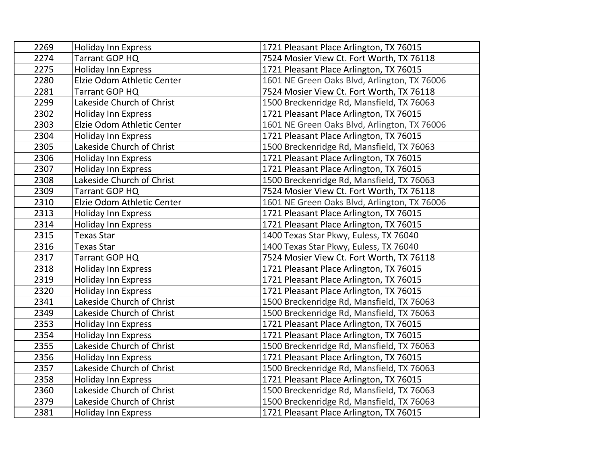| 2269 | <b>Holiday Inn Express</b> | 1721 Pleasant Place Arlington, TX 76015      |
|------|----------------------------|----------------------------------------------|
| 2274 | Tarrant GOP HQ             | 7524 Mosier View Ct. Fort Worth, TX 76118    |
| 2275 | <b>Holiday Inn Express</b> | 1721 Pleasant Place Arlington, TX 76015      |
| 2280 | Elzie Odom Athletic Center | 1601 NE Green Oaks Blvd, Arlington, TX 76006 |
| 2281 | Tarrant GOP HQ             | 7524 Mosier View Ct. Fort Worth, TX 76118    |
| 2299 | Lakeside Church of Christ  | 1500 Breckenridge Rd, Mansfield, TX 76063    |
| 2302 | <b>Holiday Inn Express</b> | 1721 Pleasant Place Arlington, TX 76015      |
| 2303 | Elzie Odom Athletic Center | 1601 NE Green Oaks Blvd, Arlington, TX 76006 |
| 2304 | <b>Holiday Inn Express</b> | 1721 Pleasant Place Arlington, TX 76015      |
| 2305 | Lakeside Church of Christ  | 1500 Breckenridge Rd, Mansfield, TX 76063    |
| 2306 | <b>Holiday Inn Express</b> | 1721 Pleasant Place Arlington, TX 76015      |
| 2307 | Holiday Inn Express        | 1721 Pleasant Place Arlington, TX 76015      |
| 2308 | Lakeside Church of Christ  | 1500 Breckenridge Rd, Mansfield, TX 76063    |
| 2309 | Tarrant GOP HQ             | 7524 Mosier View Ct. Fort Worth, TX 76118    |
| 2310 | Elzie Odom Athletic Center | 1601 NE Green Oaks Blvd, Arlington, TX 76006 |
| 2313 | <b>Holiday Inn Express</b> | 1721 Pleasant Place Arlington, TX 76015      |
| 2314 | <b>Holiday Inn Express</b> | 1721 Pleasant Place Arlington, TX 76015      |
| 2315 | <b>Texas Star</b>          | 1400 Texas Star Pkwy, Euless, TX 76040       |
| 2316 | <b>Texas Star</b>          | 1400 Texas Star Pkwy, Euless, TX 76040       |
| 2317 | Tarrant GOP HQ             | 7524 Mosier View Ct. Fort Worth, TX 76118    |
| 2318 | <b>Holiday Inn Express</b> | 1721 Pleasant Place Arlington, TX 76015      |
| 2319 | <b>Holiday Inn Express</b> | 1721 Pleasant Place Arlington, TX 76015      |
| 2320 | <b>Holiday Inn Express</b> | 1721 Pleasant Place Arlington, TX 76015      |
| 2341 | Lakeside Church of Christ  | 1500 Breckenridge Rd, Mansfield, TX 76063    |
| 2349 | Lakeside Church of Christ  | 1500 Breckenridge Rd, Mansfield, TX 76063    |
| 2353 | <b>Holiday Inn Express</b> | 1721 Pleasant Place Arlington, TX 76015      |
| 2354 | <b>Holiday Inn Express</b> | 1721 Pleasant Place Arlington, TX 76015      |
| 2355 | Lakeside Church of Christ  | 1500 Breckenridge Rd, Mansfield, TX 76063    |
| 2356 | <b>Holiday Inn Express</b> | 1721 Pleasant Place Arlington, TX 76015      |
| 2357 | Lakeside Church of Christ  | 1500 Breckenridge Rd, Mansfield, TX 76063    |
| 2358 | <b>Holiday Inn Express</b> | 1721 Pleasant Place Arlington, TX 76015      |
| 2360 | Lakeside Church of Christ  | 1500 Breckenridge Rd, Mansfield, TX 76063    |
| 2379 | Lakeside Church of Christ  | 1500 Breckenridge Rd, Mansfield, TX 76063    |
| 2381 | <b>Holiday Inn Express</b> | 1721 Pleasant Place Arlington, TX 76015      |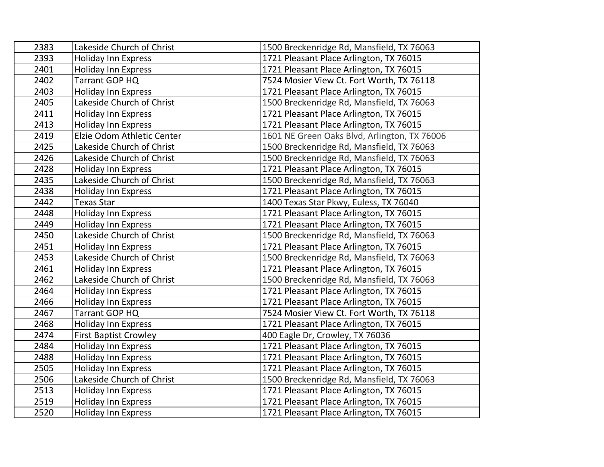| 2383 | Lakeside Church of Christ    | 1500 Breckenridge Rd, Mansfield, TX 76063    |
|------|------------------------------|----------------------------------------------|
| 2393 | <b>Holiday Inn Express</b>   | 1721 Pleasant Place Arlington, TX 76015      |
| 2401 | <b>Holiday Inn Express</b>   | 1721 Pleasant Place Arlington, TX 76015      |
| 2402 | Tarrant GOP HQ               | 7524 Mosier View Ct. Fort Worth, TX 76118    |
| 2403 | <b>Holiday Inn Express</b>   | 1721 Pleasant Place Arlington, TX 76015      |
| 2405 | Lakeside Church of Christ    | 1500 Breckenridge Rd, Mansfield, TX 76063    |
| 2411 | <b>Holiday Inn Express</b>   | 1721 Pleasant Place Arlington, TX 76015      |
| 2413 | <b>Holiday Inn Express</b>   | 1721 Pleasant Place Arlington, TX 76015      |
| 2419 | Elzie Odom Athletic Center   | 1601 NE Green Oaks Blvd, Arlington, TX 76006 |
| 2425 | Lakeside Church of Christ    | 1500 Breckenridge Rd, Mansfield, TX 76063    |
| 2426 | Lakeside Church of Christ    | 1500 Breckenridge Rd, Mansfield, TX 76063    |
| 2428 | <b>Holiday Inn Express</b>   | 1721 Pleasant Place Arlington, TX 76015      |
| 2435 | Lakeside Church of Christ    | 1500 Breckenridge Rd, Mansfield, TX 76063    |
| 2438 | <b>Holiday Inn Express</b>   | 1721 Pleasant Place Arlington, TX 76015      |
| 2442 | <b>Texas Star</b>            | 1400 Texas Star Pkwy, Euless, TX 76040       |
| 2448 | <b>Holiday Inn Express</b>   | 1721 Pleasant Place Arlington, TX 76015      |
| 2449 | <b>Holiday Inn Express</b>   | 1721 Pleasant Place Arlington, TX 76015      |
| 2450 | Lakeside Church of Christ    | 1500 Breckenridge Rd, Mansfield, TX 76063    |
| 2451 | <b>Holiday Inn Express</b>   | 1721 Pleasant Place Arlington, TX 76015      |
| 2453 | Lakeside Church of Christ    | 1500 Breckenridge Rd, Mansfield, TX 76063    |
| 2461 | <b>Holiday Inn Express</b>   | 1721 Pleasant Place Arlington, TX 76015      |
| 2462 | Lakeside Church of Christ    | 1500 Breckenridge Rd, Mansfield, TX 76063    |
| 2464 | <b>Holiday Inn Express</b>   | 1721 Pleasant Place Arlington, TX 76015      |
| 2466 | <b>Holiday Inn Express</b>   | 1721 Pleasant Place Arlington, TX 76015      |
| 2467 | Tarrant GOP HQ               | 7524 Mosier View Ct. Fort Worth, TX 76118    |
| 2468 | <b>Holiday Inn Express</b>   | 1721 Pleasant Place Arlington, TX 76015      |
| 2474 | <b>First Baptist Crowley</b> | 400 Eagle Dr, Crowley, TX 76036              |
| 2484 | <b>Holiday Inn Express</b>   | 1721 Pleasant Place Arlington, TX 76015      |
| 2488 | <b>Holiday Inn Express</b>   | 1721 Pleasant Place Arlington, TX 76015      |
| 2505 | <b>Holiday Inn Express</b>   | 1721 Pleasant Place Arlington, TX 76015      |
| 2506 | Lakeside Church of Christ    | 1500 Breckenridge Rd, Mansfield, TX 76063    |
| 2513 | <b>Holiday Inn Express</b>   | 1721 Pleasant Place Arlington, TX 76015      |
| 2519 | <b>Holiday Inn Express</b>   | 1721 Pleasant Place Arlington, TX 76015      |
| 2520 | <b>Holiday Inn Express</b>   | 1721 Pleasant Place Arlington, TX 76015      |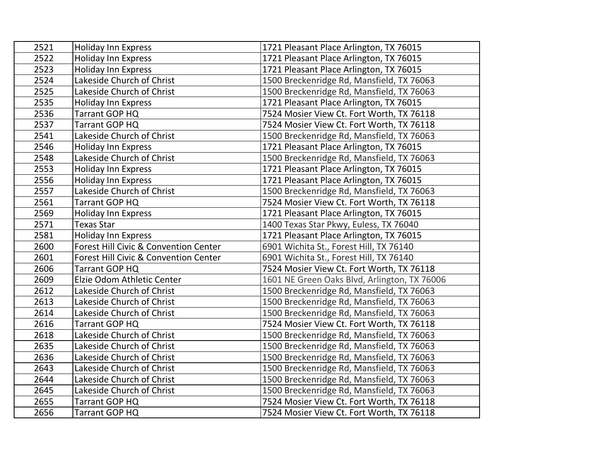| 2521 | <b>Holiday Inn Express</b>            | 1721 Pleasant Place Arlington, TX 76015      |
|------|---------------------------------------|----------------------------------------------|
| 2522 | <b>Holiday Inn Express</b>            | 1721 Pleasant Place Arlington, TX 76015      |
| 2523 | <b>Holiday Inn Express</b>            | 1721 Pleasant Place Arlington, TX 76015      |
| 2524 | Lakeside Church of Christ             | 1500 Breckenridge Rd, Mansfield, TX 76063    |
| 2525 | Lakeside Church of Christ             | 1500 Breckenridge Rd, Mansfield, TX 76063    |
| 2535 | <b>Holiday Inn Express</b>            | 1721 Pleasant Place Arlington, TX 76015      |
| 2536 | Tarrant GOP HQ                        | 7524 Mosier View Ct. Fort Worth, TX 76118    |
| 2537 | Tarrant GOP HQ                        | 7524 Mosier View Ct. Fort Worth, TX 76118    |
| 2541 | Lakeside Church of Christ             | 1500 Breckenridge Rd, Mansfield, TX 76063    |
| 2546 | <b>Holiday Inn Express</b>            | 1721 Pleasant Place Arlington, TX 76015      |
| 2548 | Lakeside Church of Christ             | 1500 Breckenridge Rd, Mansfield, TX 76063    |
| 2553 | <b>Holiday Inn Express</b>            | 1721 Pleasant Place Arlington, TX 76015      |
| 2556 | <b>Holiday Inn Express</b>            | 1721 Pleasant Place Arlington, TX 76015      |
| 2557 | Lakeside Church of Christ             | 1500 Breckenridge Rd, Mansfield, TX 76063    |
| 2561 | Tarrant GOP HQ                        | 7524 Mosier View Ct. Fort Worth, TX 76118    |
| 2569 | <b>Holiday Inn Express</b>            | 1721 Pleasant Place Arlington, TX 76015      |
| 2571 | <b>Texas Star</b>                     | 1400 Texas Star Pkwy, Euless, TX 76040       |
| 2581 | Holiday Inn Express                   | 1721 Pleasant Place Arlington, TX 76015      |
| 2600 | Forest Hill Civic & Convention Center | 6901 Wichita St., Forest Hill, TX 76140      |
| 2601 | Forest Hill Civic & Convention Center | 6901 Wichita St., Forest Hill, TX 76140      |
| 2606 | Tarrant GOP HQ                        | 7524 Mosier View Ct. Fort Worth, TX 76118    |
| 2609 | Elzie Odom Athletic Center            | 1601 NE Green Oaks Blvd, Arlington, TX 76006 |
| 2612 | Lakeside Church of Christ             | 1500 Breckenridge Rd, Mansfield, TX 76063    |
| 2613 | Lakeside Church of Christ             | 1500 Breckenridge Rd, Mansfield, TX 76063    |
| 2614 | Lakeside Church of Christ             | 1500 Breckenridge Rd, Mansfield, TX 76063    |
| 2616 | Tarrant GOP HQ                        | 7524 Mosier View Ct. Fort Worth, TX 76118    |
| 2618 | Lakeside Church of Christ             | 1500 Breckenridge Rd, Mansfield, TX 76063    |
| 2635 | Lakeside Church of Christ             | 1500 Breckenridge Rd, Mansfield, TX 76063    |
| 2636 | Lakeside Church of Christ             | 1500 Breckenridge Rd, Mansfield, TX 76063    |
| 2643 | Lakeside Church of Christ             | 1500 Breckenridge Rd, Mansfield, TX 76063    |
| 2644 | Lakeside Church of Christ             | 1500 Breckenridge Rd, Mansfield, TX 76063    |
| 2645 | Lakeside Church of Christ             | 1500 Breckenridge Rd, Mansfield, TX 76063    |
| 2655 | Tarrant GOP HQ                        | 7524 Mosier View Ct. Fort Worth, TX 76118    |
| 2656 | Tarrant GOP HQ                        | 7524 Mosier View Ct. Fort Worth, TX 76118    |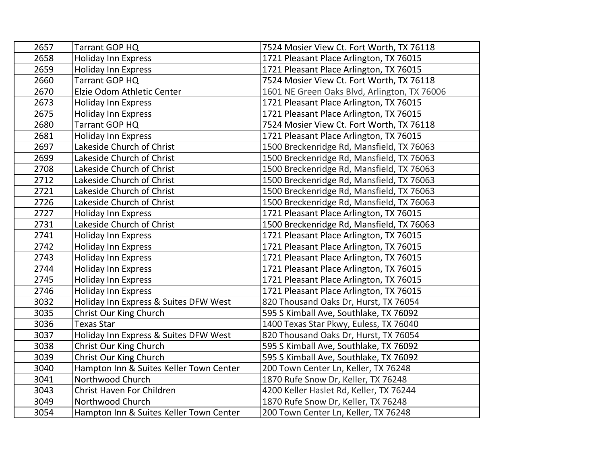| 2657 | Tarrant GOP HQ                          | 7524 Mosier View Ct. Fort Worth, TX 76118    |
|------|-----------------------------------------|----------------------------------------------|
| 2658 | <b>Holiday Inn Express</b>              | 1721 Pleasant Place Arlington, TX 76015      |
| 2659 | <b>Holiday Inn Express</b>              | 1721 Pleasant Place Arlington, TX 76015      |
| 2660 | Tarrant GOP HQ                          | 7524 Mosier View Ct. Fort Worth, TX 76118    |
| 2670 | Elzie Odom Athletic Center              | 1601 NE Green Oaks Blvd, Arlington, TX 76006 |
| 2673 | Holiday Inn Express                     | 1721 Pleasant Place Arlington, TX 76015      |
| 2675 | <b>Holiday Inn Express</b>              | 1721 Pleasant Place Arlington, TX 76015      |
| 2680 | Tarrant GOP HQ                          | 7524 Mosier View Ct. Fort Worth, TX 76118    |
| 2681 | <b>Holiday Inn Express</b>              | 1721 Pleasant Place Arlington, TX 76015      |
| 2697 | Lakeside Church of Christ               | 1500 Breckenridge Rd, Mansfield, TX 76063    |
| 2699 | Lakeside Church of Christ               | 1500 Breckenridge Rd, Mansfield, TX 76063    |
| 2708 | Lakeside Church of Christ               | 1500 Breckenridge Rd, Mansfield, TX 76063    |
| 2712 | Lakeside Church of Christ               | 1500 Breckenridge Rd, Mansfield, TX 76063    |
| 2721 | Lakeside Church of Christ               | 1500 Breckenridge Rd, Mansfield, TX 76063    |
| 2726 | Lakeside Church of Christ               | 1500 Breckenridge Rd, Mansfield, TX 76063    |
| 2727 | Holiday Inn Express                     | 1721 Pleasant Place Arlington, TX 76015      |
| 2731 | Lakeside Church of Christ               | 1500 Breckenridge Rd, Mansfield, TX 76063    |
| 2741 | <b>Holiday Inn Express</b>              | 1721 Pleasant Place Arlington, TX 76015      |
| 2742 | <b>Holiday Inn Express</b>              | 1721 Pleasant Place Arlington, TX 76015      |
| 2743 | <b>Holiday Inn Express</b>              | 1721 Pleasant Place Arlington, TX 76015      |
| 2744 | <b>Holiday Inn Express</b>              | 1721 Pleasant Place Arlington, TX 76015      |
| 2745 | <b>Holiday Inn Express</b>              | 1721 Pleasant Place Arlington, TX 76015      |
| 2746 | <b>Holiday Inn Express</b>              | 1721 Pleasant Place Arlington, TX 76015      |
| 3032 | Holiday Inn Express & Suites DFW West   | 820 Thousand Oaks Dr, Hurst, TX 76054        |
| 3035 | Christ Our King Church                  | 595 S Kimball Ave, Southlake, TX 76092       |
| 3036 | <b>Texas Star</b>                       | 1400 Texas Star Pkwy, Euless, TX 76040       |
| 3037 | Holiday Inn Express & Suites DFW West   | 820 Thousand Oaks Dr, Hurst, TX 76054        |
| 3038 | Christ Our King Church                  | 595 S Kimball Ave, Southlake, TX 76092       |
| 3039 | Christ Our King Church                  | 595 S Kimball Ave, Southlake, TX 76092       |
| 3040 | Hampton Inn & Suites Keller Town Center | 200 Town Center Ln, Keller, TX 76248         |
| 3041 | Northwood Church                        | 1870 Rufe Snow Dr, Keller, TX 76248          |
| 3043 | Christ Haven For Children               | 4200 Keller Haslet Rd, Keller, TX 76244      |
| 3049 | Northwood Church                        | 1870 Rufe Snow Dr, Keller, TX 76248          |
| 3054 | Hampton Inn & Suites Keller Town Center | 200 Town Center Ln, Keller, TX 76248         |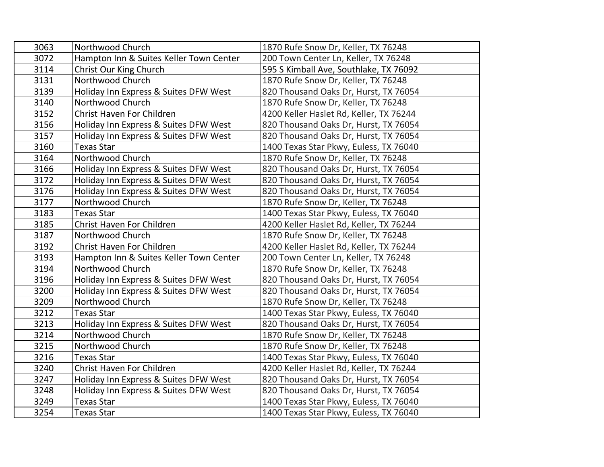| 3063 | Northwood Church                        | 1870 Rufe Snow Dr, Keller, TX 76248     |
|------|-----------------------------------------|-----------------------------------------|
| 3072 | Hampton Inn & Suites Keller Town Center | 200 Town Center Ln, Keller, TX 76248    |
| 3114 | Christ Our King Church                  | 595 S Kimball Ave, Southlake, TX 76092  |
| 3131 | Northwood Church                        | 1870 Rufe Snow Dr, Keller, TX 76248     |
| 3139 | Holiday Inn Express & Suites DFW West   | 820 Thousand Oaks Dr, Hurst, TX 76054   |
| 3140 | Northwood Church                        | 1870 Rufe Snow Dr, Keller, TX 76248     |
| 3152 | Christ Haven For Children               | 4200 Keller Haslet Rd, Keller, TX 76244 |
| 3156 | Holiday Inn Express & Suites DFW West   | 820 Thousand Oaks Dr, Hurst, TX 76054   |
| 3157 | Holiday Inn Express & Suites DFW West   | 820 Thousand Oaks Dr, Hurst, TX 76054   |
| 3160 | <b>Texas Star</b>                       | 1400 Texas Star Pkwy, Euless, TX 76040  |
| 3164 | Northwood Church                        | 1870 Rufe Snow Dr, Keller, TX 76248     |
| 3166 | Holiday Inn Express & Suites DFW West   | 820 Thousand Oaks Dr, Hurst, TX 76054   |
| 3172 | Holiday Inn Express & Suites DFW West   | 820 Thousand Oaks Dr, Hurst, TX 76054   |
| 3176 | Holiday Inn Express & Suites DFW West   | 820 Thousand Oaks Dr, Hurst, TX 76054   |
| 3177 | Northwood Church                        | 1870 Rufe Snow Dr, Keller, TX 76248     |
| 3183 | <b>Texas Star</b>                       | 1400 Texas Star Pkwy, Euless, TX 76040  |
| 3185 | Christ Haven For Children               | 4200 Keller Haslet Rd, Keller, TX 76244 |
| 3187 | Northwood Church                        | 1870 Rufe Snow Dr, Keller, TX 76248     |
| 3192 | Christ Haven For Children               | 4200 Keller Haslet Rd, Keller, TX 76244 |
| 3193 | Hampton Inn & Suites Keller Town Center | 200 Town Center Ln, Keller, TX 76248    |
| 3194 | Northwood Church                        | 1870 Rufe Snow Dr, Keller, TX 76248     |
| 3196 | Holiday Inn Express & Suites DFW West   | 820 Thousand Oaks Dr, Hurst, TX 76054   |
| 3200 | Holiday Inn Express & Suites DFW West   | 820 Thousand Oaks Dr, Hurst, TX 76054   |
| 3209 | Northwood Church                        | 1870 Rufe Snow Dr, Keller, TX 76248     |
| 3212 | <b>Texas Star</b>                       | 1400 Texas Star Pkwy, Euless, TX 76040  |
| 3213 | Holiday Inn Express & Suites DFW West   | 820 Thousand Oaks Dr, Hurst, TX 76054   |
| 3214 | Northwood Church                        | 1870 Rufe Snow Dr, Keller, TX 76248     |
| 3215 | Northwood Church                        | 1870 Rufe Snow Dr, Keller, TX 76248     |
| 3216 | <b>Texas Star</b>                       | 1400 Texas Star Pkwy, Euless, TX 76040  |
| 3240 | Christ Haven For Children               | 4200 Keller Haslet Rd, Keller, TX 76244 |
| 3247 | Holiday Inn Express & Suites DFW West   | 820 Thousand Oaks Dr, Hurst, TX 76054   |
| 3248 | Holiday Inn Express & Suites DFW West   | 820 Thousand Oaks Dr, Hurst, TX 76054   |
| 3249 | <b>Texas Star</b>                       | 1400 Texas Star Pkwy, Euless, TX 76040  |
| 3254 | Texas Star                              | 1400 Texas Star Pkwy, Euless, TX 76040  |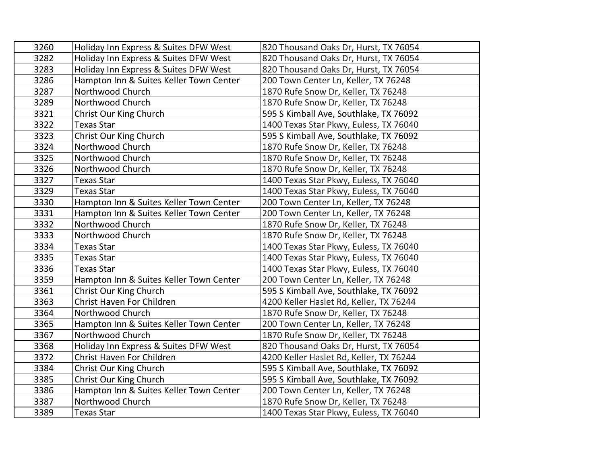| 3260 | Holiday Inn Express & Suites DFW West   | 820 Thousand Oaks Dr, Hurst, TX 76054   |
|------|-----------------------------------------|-----------------------------------------|
| 3282 | Holiday Inn Express & Suites DFW West   | 820 Thousand Oaks Dr, Hurst, TX 76054   |
| 3283 | Holiday Inn Express & Suites DFW West   | 820 Thousand Oaks Dr, Hurst, TX 76054   |
| 3286 | Hampton Inn & Suites Keller Town Center | 200 Town Center Ln, Keller, TX 76248    |
| 3287 | Northwood Church                        | 1870 Rufe Snow Dr, Keller, TX 76248     |
| 3289 | Northwood Church                        | 1870 Rufe Snow Dr, Keller, TX 76248     |
| 3321 | Christ Our King Church                  | 595 S Kimball Ave, Southlake, TX 76092  |
| 3322 | <b>Texas Star</b>                       | 1400 Texas Star Pkwy, Euless, TX 76040  |
| 3323 | Christ Our King Church                  | 595 S Kimball Ave, Southlake, TX 76092  |
| 3324 | Northwood Church                        | 1870 Rufe Snow Dr, Keller, TX 76248     |
| 3325 | Northwood Church                        | 1870 Rufe Snow Dr, Keller, TX 76248     |
| 3326 | Northwood Church                        | 1870 Rufe Snow Dr, Keller, TX 76248     |
| 3327 | <b>Texas Star</b>                       | 1400 Texas Star Pkwy, Euless, TX 76040  |
| 3329 | <b>Texas Star</b>                       | 1400 Texas Star Pkwy, Euless, TX 76040  |
| 3330 | Hampton Inn & Suites Keller Town Center | 200 Town Center Ln, Keller, TX 76248    |
| 3331 | Hampton Inn & Suites Keller Town Center | 200 Town Center Ln, Keller, TX 76248    |
| 3332 | Northwood Church                        | 1870 Rufe Snow Dr, Keller, TX 76248     |
| 3333 | Northwood Church                        | 1870 Rufe Snow Dr, Keller, TX 76248     |
| 3334 | <b>Texas Star</b>                       | 1400 Texas Star Pkwy, Euless, TX 76040  |
| 3335 | <b>Texas Star</b>                       | 1400 Texas Star Pkwy, Euless, TX 76040  |
| 3336 | <b>Texas Star</b>                       | 1400 Texas Star Pkwy, Euless, TX 76040  |
| 3359 | Hampton Inn & Suites Keller Town Center | 200 Town Center Ln, Keller, TX 76248    |
| 3361 | Christ Our King Church                  | 595 S Kimball Ave, Southlake, TX 76092  |
| 3363 | Christ Haven For Children               | 4200 Keller Haslet Rd, Keller, TX 76244 |
| 3364 | Northwood Church                        | 1870 Rufe Snow Dr, Keller, TX 76248     |
| 3365 | Hampton Inn & Suites Keller Town Center | 200 Town Center Ln, Keller, TX 76248    |
| 3367 | Northwood Church                        | 1870 Rufe Snow Dr, Keller, TX 76248     |
| 3368 | Holiday Inn Express & Suites DFW West   | 820 Thousand Oaks Dr, Hurst, TX 76054   |
| 3372 | Christ Haven For Children               | 4200 Keller Haslet Rd, Keller, TX 76244 |
| 3384 | Christ Our King Church                  | 595 S Kimball Ave, Southlake, TX 76092  |
| 3385 | Christ Our King Church                  | 595 S Kimball Ave, Southlake, TX 76092  |
| 3386 | Hampton Inn & Suites Keller Town Center | 200 Town Center Ln, Keller, TX 76248    |
| 3387 | Northwood Church                        | 1870 Rufe Snow Dr, Keller, TX 76248     |
| 3389 | <b>Texas Star</b>                       | 1400 Texas Star Pkwy, Euless, TX 76040  |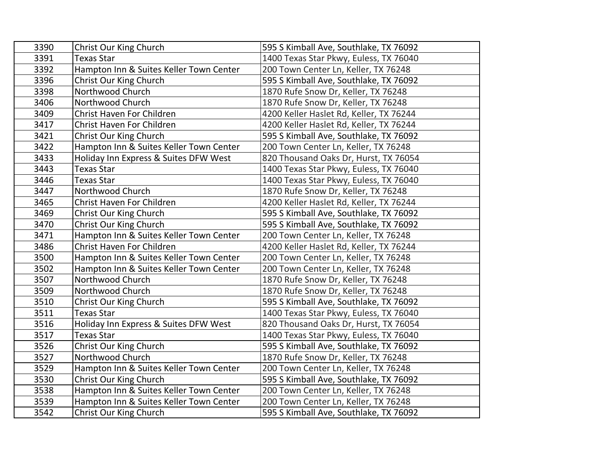| 3390 | Christ Our King Church                  | 595 S Kimball Ave, Southlake, TX 76092  |
|------|-----------------------------------------|-----------------------------------------|
| 3391 | <b>Texas Star</b>                       | 1400 Texas Star Pkwy, Euless, TX 76040  |
| 3392 | Hampton Inn & Suites Keller Town Center | 200 Town Center Ln, Keller, TX 76248    |
| 3396 | Christ Our King Church                  | 595 S Kimball Ave, Southlake, TX 76092  |
| 3398 | Northwood Church                        | 1870 Rufe Snow Dr, Keller, TX 76248     |
| 3406 | Northwood Church                        | 1870 Rufe Snow Dr, Keller, TX 76248     |
| 3409 | Christ Haven For Children               | 4200 Keller Haslet Rd, Keller, TX 76244 |
| 3417 | Christ Haven For Children               | 4200 Keller Haslet Rd, Keller, TX 76244 |
| 3421 | Christ Our King Church                  | 595 S Kimball Ave, Southlake, TX 76092  |
| 3422 | Hampton Inn & Suites Keller Town Center | 200 Town Center Ln, Keller, TX 76248    |
| 3433 | Holiday Inn Express & Suites DFW West   | 820 Thousand Oaks Dr, Hurst, TX 76054   |
| 3443 | <b>Texas Star</b>                       | 1400 Texas Star Pkwy, Euless, TX 76040  |
| 3446 | <b>Texas Star</b>                       | 1400 Texas Star Pkwy, Euless, TX 76040  |
| 3447 | Northwood Church                        | 1870 Rufe Snow Dr, Keller, TX 76248     |
| 3465 | <b>Christ Haven For Children</b>        | 4200 Keller Haslet Rd, Keller, TX 76244 |
| 3469 | Christ Our King Church                  | 595 S Kimball Ave, Southlake, TX 76092  |
| 3470 | Christ Our King Church                  | 595 S Kimball Ave, Southlake, TX 76092  |
| 3471 | Hampton Inn & Suites Keller Town Center | 200 Town Center Ln, Keller, TX 76248    |
| 3486 | Christ Haven For Children               | 4200 Keller Haslet Rd, Keller, TX 76244 |
| 3500 | Hampton Inn & Suites Keller Town Center | 200 Town Center Ln, Keller, TX 76248    |
| 3502 | Hampton Inn & Suites Keller Town Center | 200 Town Center Ln, Keller, TX 76248    |
| 3507 | Northwood Church                        | 1870 Rufe Snow Dr, Keller, TX 76248     |
| 3509 | Northwood Church                        | 1870 Rufe Snow Dr, Keller, TX 76248     |
| 3510 | Christ Our King Church                  | 595 S Kimball Ave, Southlake, TX 76092  |
| 3511 | <b>Texas Star</b>                       | 1400 Texas Star Pkwy, Euless, TX 76040  |
| 3516 | Holiday Inn Express & Suites DFW West   | 820 Thousand Oaks Dr, Hurst, TX 76054   |
| 3517 | <b>Texas Star</b>                       | 1400 Texas Star Pkwy, Euless, TX 76040  |
| 3526 | Christ Our King Church                  | 595 S Kimball Ave, Southlake, TX 76092  |
| 3527 | Northwood Church                        | 1870 Rufe Snow Dr, Keller, TX 76248     |
| 3529 | Hampton Inn & Suites Keller Town Center | 200 Town Center Ln, Keller, TX 76248    |
| 3530 | Christ Our King Church                  | 595 S Kimball Ave, Southlake, TX 76092  |
| 3538 | Hampton Inn & Suites Keller Town Center | 200 Town Center Ln, Keller, TX 76248    |
| 3539 | Hampton Inn & Suites Keller Town Center | 200 Town Center Ln, Keller, TX 76248    |
| 3542 | Christ Our King Church                  | 595 S Kimball Ave, Southlake, TX 76092  |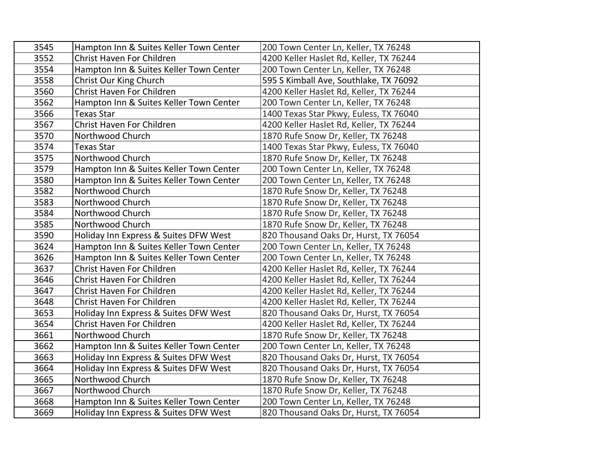| 3545 | Hampton Inn & Suites Keller Town Center | 200 Town Center Ln, Keller, TX 76248    |
|------|-----------------------------------------|-----------------------------------------|
| 3552 | Christ Haven For Children               | 4200 Keller Haslet Rd, Keller, TX 76244 |
| 3554 | Hampton Inn & Suites Keller Town Center | 200 Town Center Ln, Keller, TX 76248    |
| 3558 | Christ Our King Church                  | 595 S Kimball Ave, Southlake, TX 76092  |
| 3560 | Christ Haven For Children               | 4200 Keller Haslet Rd, Keller, TX 76244 |
| 3562 | Hampton Inn & Suites Keller Town Center | 200 Town Center Ln, Keller, TX 76248    |
| 3566 | <b>Texas Star</b>                       | 1400 Texas Star Pkwy, Euless, TX 76040  |
| 3567 | Christ Haven For Children               | 4200 Keller Haslet Rd, Keller, TX 76244 |
| 3570 | Northwood Church                        | 1870 Rufe Snow Dr, Keller, TX 76248     |
| 3574 | <b>Texas Star</b>                       | 1400 Texas Star Pkwy, Euless, TX 76040  |
| 3575 | Northwood Church                        | 1870 Rufe Snow Dr, Keller, TX 76248     |
| 3579 | Hampton Inn & Suites Keller Town Center | 200 Town Center Ln, Keller, TX 76248    |
| 3580 | Hampton Inn & Suites Keller Town Center | 200 Town Center Ln, Keller, TX 76248    |
| 3582 | Northwood Church                        | 1870 Rufe Snow Dr, Keller, TX 76248     |
| 3583 | Northwood Church                        | 1870 Rufe Snow Dr, Keller, TX 76248     |
| 3584 | Northwood Church                        | 1870 Rufe Snow Dr, Keller, TX 76248     |
| 3585 | Northwood Church                        | 1870 Rufe Snow Dr, Keller, TX 76248     |
| 3590 | Holiday Inn Express & Suites DFW West   | 820 Thousand Oaks Dr, Hurst, TX 76054   |
| 3624 | Hampton Inn & Suites Keller Town Center | 200 Town Center Ln, Keller, TX 76248    |
| 3626 | Hampton Inn & Suites Keller Town Center | 200 Town Center Ln, Keller, TX 76248    |
| 3637 | Christ Haven For Children               | 4200 Keller Haslet Rd, Keller, TX 76244 |
| 3646 | Christ Haven For Children               | 4200 Keller Haslet Rd, Keller, TX 76244 |
| 3647 | Christ Haven For Children               | 4200 Keller Haslet Rd, Keller, TX 76244 |
| 3648 | Christ Haven For Children               | 4200 Keller Haslet Rd, Keller, TX 76244 |
| 3653 | Holiday Inn Express & Suites DFW West   | 820 Thousand Oaks Dr, Hurst, TX 76054   |
| 3654 | Christ Haven For Children               | 4200 Keller Haslet Rd, Keller, TX 76244 |
| 3661 | Northwood Church                        | 1870 Rufe Snow Dr, Keller, TX 76248     |
| 3662 | Hampton Inn & Suites Keller Town Center | 200 Town Center Ln, Keller, TX 76248    |
| 3663 | Holiday Inn Express & Suites DFW West   | 820 Thousand Oaks Dr, Hurst, TX 76054   |
| 3664 | Holiday Inn Express & Suites DFW West   | 820 Thousand Oaks Dr, Hurst, TX 76054   |
| 3665 | Northwood Church                        | 1870 Rufe Snow Dr, Keller, TX 76248     |
| 3667 | Northwood Church                        | 1870 Rufe Snow Dr, Keller, TX 76248     |
| 3668 | Hampton Inn & Suites Keller Town Center | 200 Town Center Ln, Keller, TX 76248    |
| 3669 | Holiday Inn Express & Suites DFW West   | 820 Thousand Oaks Dr, Hurst, TX 76054   |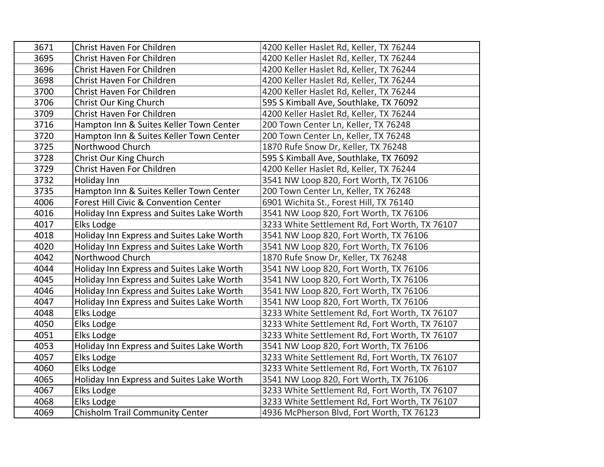| 3671 | Christ Haven For Children                 | 4200 Keller Haslet Rd, Keller, TX 76244        |
|------|-------------------------------------------|------------------------------------------------|
| 3695 | Christ Haven For Children                 | 4200 Keller Haslet Rd, Keller, TX 76244        |
| 3696 | Christ Haven For Children                 | 4200 Keller Haslet Rd, Keller, TX 76244        |
| 3698 | Christ Haven For Children                 | 4200 Keller Haslet Rd, Keller, TX 76244        |
| 3700 | Christ Haven For Children                 | 4200 Keller Haslet Rd, Keller, TX 76244        |
| 3706 | Christ Our King Church                    | 595 S Kimball Ave, Southlake, TX 76092         |
| 3709 | Christ Haven For Children                 | 4200 Keller Haslet Rd, Keller, TX 76244        |
| 3716 | Hampton Inn & Suites Keller Town Center   | 200 Town Center Ln, Keller, TX 76248           |
| 3720 | Hampton Inn & Suites Keller Town Center   | 200 Town Center Ln, Keller, TX 76248           |
| 3725 | Northwood Church                          | 1870 Rufe Snow Dr, Keller, TX 76248            |
| 3728 | Christ Our King Church                    | 595 S Kimball Ave, Southlake, TX 76092         |
| 3729 | Christ Haven For Children                 | 4200 Keller Haslet Rd, Keller, TX 76244        |
| 3732 | Holiday Inn                               | 3541 NW Loop 820, Fort Worth, TX 76106         |
| 3735 | Hampton Inn & Suites Keller Town Center   | 200 Town Center Ln, Keller, TX 76248           |
| 4006 | Forest Hill Civic & Convention Center     | 6901 Wichita St., Forest Hill, TX 76140        |
| 4016 | Holiday Inn Express and Suites Lake Worth | 3541 NW Loop 820, Fort Worth, TX 76106         |
| 4017 | Elks Lodge                                | 3233 White Settlement Rd, Fort Worth, TX 76107 |
| 4018 | Holiday Inn Express and Suites Lake Worth | 3541 NW Loop 820, Fort Worth, TX 76106         |
| 4020 | Holiday Inn Express and Suites Lake Worth | 3541 NW Loop 820, Fort Worth, TX 76106         |
| 4042 | Northwood Church                          | 1870 Rufe Snow Dr, Keller, TX 76248            |
| 4044 | Holiday Inn Express and Suites Lake Worth | 3541 NW Loop 820, Fort Worth, TX 76106         |
| 4045 | Holiday Inn Express and Suites Lake Worth | 3541 NW Loop 820, Fort Worth, TX 76106         |
| 4046 | Holiday Inn Express and Suites Lake Worth | 3541 NW Loop 820, Fort Worth, TX 76106         |
| 4047 | Holiday Inn Express and Suites Lake Worth | 3541 NW Loop 820, Fort Worth, TX 76106         |
| 4048 | Elks Lodge                                | 3233 White Settlement Rd, Fort Worth, TX 76107 |
| 4050 | Elks Lodge                                | 3233 White Settlement Rd, Fort Worth, TX 76107 |
| 4051 | Elks Lodge                                | 3233 White Settlement Rd, Fort Worth, TX 76107 |
| 4053 | Holiday Inn Express and Suites Lake Worth | 3541 NW Loop 820, Fort Worth, TX 76106         |
| 4057 | Elks Lodge                                | 3233 White Settlement Rd, Fort Worth, TX 76107 |
| 4060 | Elks Lodge                                | 3233 White Settlement Rd, Fort Worth, TX 76107 |
| 4065 | Holiday Inn Express and Suites Lake Worth | 3541 NW Loop 820, Fort Worth, TX 76106         |
| 4067 | Elks Lodge                                | 3233 White Settlement Rd, Fort Worth, TX 76107 |
| 4068 | Elks Lodge                                | 3233 White Settlement Rd, Fort Worth, TX 76107 |
| 4069 | <b>Chisholm Trail Community Center</b>    | 4936 McPherson Blvd, Fort Worth, TX 76123      |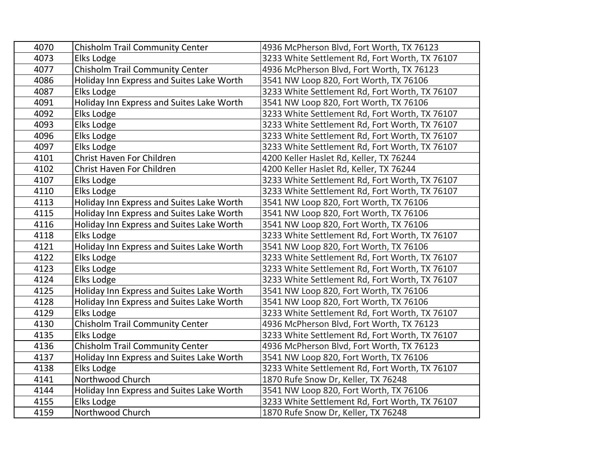| 4070 | Chisholm Trail Community Center           | 4936 McPherson Blvd, Fort Worth, TX 76123      |
|------|-------------------------------------------|------------------------------------------------|
| 4073 | Elks Lodge                                | 3233 White Settlement Rd, Fort Worth, TX 76107 |
| 4077 | Chisholm Trail Community Center           | 4936 McPherson Blvd, Fort Worth, TX 76123      |
| 4086 | Holiday Inn Express and Suites Lake Worth | 3541 NW Loop 820, Fort Worth, TX 76106         |
| 4087 | Elks Lodge                                | 3233 White Settlement Rd, Fort Worth, TX 76107 |
| 4091 | Holiday Inn Express and Suites Lake Worth | 3541 NW Loop 820, Fort Worth, TX 76106         |
| 4092 | Elks Lodge                                | 3233 White Settlement Rd, Fort Worth, TX 76107 |
| 4093 | Elks Lodge                                | 3233 White Settlement Rd, Fort Worth, TX 76107 |
| 4096 | Elks Lodge                                | 3233 White Settlement Rd, Fort Worth, TX 76107 |
| 4097 | Elks Lodge                                | 3233 White Settlement Rd, Fort Worth, TX 76107 |
| 4101 | Christ Haven For Children                 | 4200 Keller Haslet Rd, Keller, TX 76244        |
| 4102 | Christ Haven For Children                 | 4200 Keller Haslet Rd, Keller, TX 76244        |
| 4107 | Elks Lodge                                | 3233 White Settlement Rd, Fort Worth, TX 76107 |
| 4110 | Elks Lodge                                | 3233 White Settlement Rd, Fort Worth, TX 76107 |
| 4113 | Holiday Inn Express and Suites Lake Worth | 3541 NW Loop 820, Fort Worth, TX 76106         |
| 4115 | Holiday Inn Express and Suites Lake Worth | 3541 NW Loop 820, Fort Worth, TX 76106         |
| 4116 | Holiday Inn Express and Suites Lake Worth | 3541 NW Loop 820, Fort Worth, TX 76106         |
| 4118 | Elks Lodge                                | 3233 White Settlement Rd, Fort Worth, TX 76107 |
| 4121 | Holiday Inn Express and Suites Lake Worth | 3541 NW Loop 820, Fort Worth, TX 76106         |
| 4122 | Elks Lodge                                | 3233 White Settlement Rd, Fort Worth, TX 76107 |
| 4123 | Elks Lodge                                | 3233 White Settlement Rd, Fort Worth, TX 76107 |
| 4124 | Elks Lodge                                | 3233 White Settlement Rd, Fort Worth, TX 76107 |
| 4125 | Holiday Inn Express and Suites Lake Worth | 3541 NW Loop 820, Fort Worth, TX 76106         |
| 4128 | Holiday Inn Express and Suites Lake Worth | 3541 NW Loop 820, Fort Worth, TX 76106         |
| 4129 | Elks Lodge                                | 3233 White Settlement Rd, Fort Worth, TX 76107 |
| 4130 | Chisholm Trail Community Center           | 4936 McPherson Blvd, Fort Worth, TX 76123      |
| 4135 | Elks Lodge                                | 3233 White Settlement Rd, Fort Worth, TX 76107 |
| 4136 | <b>Chisholm Trail Community Center</b>    | 4936 McPherson Blvd, Fort Worth, TX 76123      |
| 4137 | Holiday Inn Express and Suites Lake Worth | 3541 NW Loop 820, Fort Worth, TX 76106         |
| 4138 | Elks Lodge                                | 3233 White Settlement Rd, Fort Worth, TX 76107 |
| 4141 | Northwood Church                          | 1870 Rufe Snow Dr, Keller, TX 76248            |
| 4144 | Holiday Inn Express and Suites Lake Worth | 3541 NW Loop 820, Fort Worth, TX 76106         |
| 4155 | Elks Lodge                                | 3233 White Settlement Rd, Fort Worth, TX 76107 |
| 4159 | Northwood Church                          | 1870 Rufe Snow Dr, Keller, TX 76248            |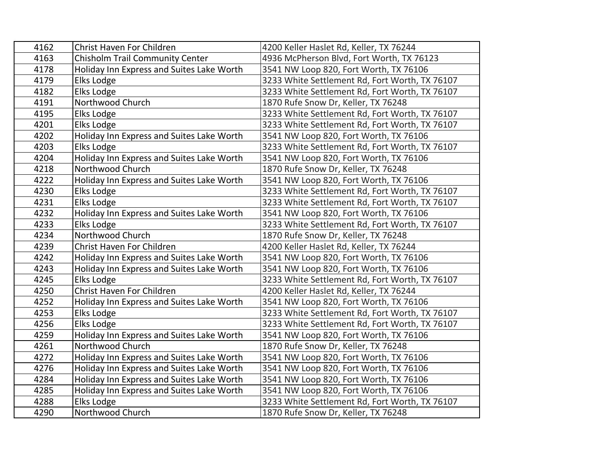| 4162 | Christ Haven For Children                 | 4200 Keller Haslet Rd, Keller, TX 76244        |
|------|-------------------------------------------|------------------------------------------------|
| 4163 | <b>Chisholm Trail Community Center</b>    | 4936 McPherson Blvd, Fort Worth, TX 76123      |
| 4178 | Holiday Inn Express and Suites Lake Worth | 3541 NW Loop 820, Fort Worth, TX 76106         |
| 4179 | Elks Lodge                                | 3233 White Settlement Rd, Fort Worth, TX 76107 |
| 4182 | Elks Lodge                                | 3233 White Settlement Rd, Fort Worth, TX 76107 |
| 4191 | Northwood Church                          | 1870 Rufe Snow Dr, Keller, TX 76248            |
| 4195 | Elks Lodge                                | 3233 White Settlement Rd, Fort Worth, TX 76107 |
| 4201 | Elks Lodge                                | 3233 White Settlement Rd, Fort Worth, TX 76107 |
| 4202 | Holiday Inn Express and Suites Lake Worth | 3541 NW Loop 820, Fort Worth, TX 76106         |
| 4203 | Elks Lodge                                | 3233 White Settlement Rd, Fort Worth, TX 76107 |
| 4204 | Holiday Inn Express and Suites Lake Worth | 3541 NW Loop 820, Fort Worth, TX 76106         |
| 4218 | Northwood Church                          | 1870 Rufe Snow Dr, Keller, TX 76248            |
| 4222 | Holiday Inn Express and Suites Lake Worth | 3541 NW Loop 820, Fort Worth, TX 76106         |
| 4230 | Elks Lodge                                | 3233 White Settlement Rd, Fort Worth, TX 76107 |
| 4231 | Elks Lodge                                | 3233 White Settlement Rd, Fort Worth, TX 76107 |
| 4232 | Holiday Inn Express and Suites Lake Worth | 3541 NW Loop 820, Fort Worth, TX 76106         |
| 4233 | Elks Lodge                                | 3233 White Settlement Rd, Fort Worth, TX 76107 |
| 4234 | Northwood Church                          | 1870 Rufe Snow Dr, Keller, TX 76248            |
| 4239 | Christ Haven For Children                 | 4200 Keller Haslet Rd, Keller, TX 76244        |
| 4242 | Holiday Inn Express and Suites Lake Worth | 3541 NW Loop 820, Fort Worth, TX 76106         |
| 4243 | Holiday Inn Express and Suites Lake Worth | 3541 NW Loop 820, Fort Worth, TX 76106         |
| 4245 | Elks Lodge                                | 3233 White Settlement Rd, Fort Worth, TX 76107 |
| 4250 | Christ Haven For Children                 | 4200 Keller Haslet Rd, Keller, TX 76244        |
| 4252 | Holiday Inn Express and Suites Lake Worth | 3541 NW Loop 820, Fort Worth, TX 76106         |
| 4253 | Elks Lodge                                | 3233 White Settlement Rd, Fort Worth, TX 76107 |
| 4256 | Elks Lodge                                | 3233 White Settlement Rd, Fort Worth, TX 76107 |
| 4259 | Holiday Inn Express and Suites Lake Worth | 3541 NW Loop 820, Fort Worth, TX 76106         |
| 4261 | Northwood Church                          | 1870 Rufe Snow Dr, Keller, TX 76248            |
| 4272 | Holiday Inn Express and Suites Lake Worth | 3541 NW Loop 820, Fort Worth, TX 76106         |
| 4276 | Holiday Inn Express and Suites Lake Worth | 3541 NW Loop 820, Fort Worth, TX 76106         |
| 4284 | Holiday Inn Express and Suites Lake Worth | 3541 NW Loop 820, Fort Worth, TX 76106         |
| 4285 | Holiday Inn Express and Suites Lake Worth | 3541 NW Loop 820, Fort Worth, TX 76106         |
| 4288 | Elks Lodge                                | 3233 White Settlement Rd, Fort Worth, TX 76107 |
| 4290 | Northwood Church                          | 1870 Rufe Snow Dr, Keller, TX 76248            |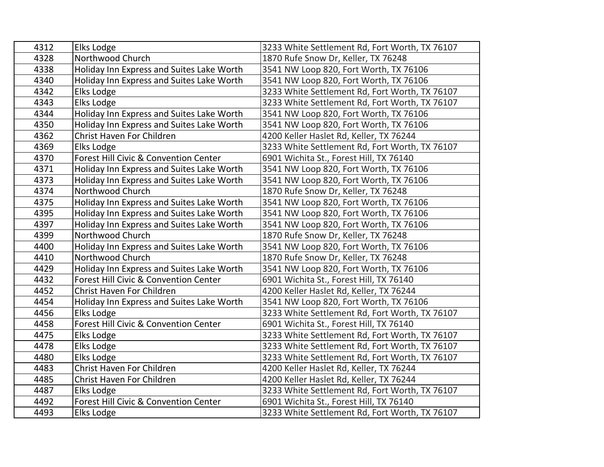| 4312 | Elks Lodge                                | 3233 White Settlement Rd, Fort Worth, TX 76107 |
|------|-------------------------------------------|------------------------------------------------|
| 4328 | Northwood Church                          | 1870 Rufe Snow Dr, Keller, TX 76248            |
| 4338 | Holiday Inn Express and Suites Lake Worth | 3541 NW Loop 820, Fort Worth, TX 76106         |
| 4340 | Holiday Inn Express and Suites Lake Worth | 3541 NW Loop 820, Fort Worth, TX 76106         |
| 4342 | Elks Lodge                                | 3233 White Settlement Rd, Fort Worth, TX 76107 |
| 4343 | Elks Lodge                                | 3233 White Settlement Rd, Fort Worth, TX 76107 |
| 4344 | Holiday Inn Express and Suites Lake Worth | 3541 NW Loop 820, Fort Worth, TX 76106         |
| 4350 | Holiday Inn Express and Suites Lake Worth | 3541 NW Loop 820, Fort Worth, TX 76106         |
| 4362 | Christ Haven For Children                 | 4200 Keller Haslet Rd, Keller, TX 76244        |
| 4369 | Elks Lodge                                | 3233 White Settlement Rd, Fort Worth, TX 76107 |
| 4370 | Forest Hill Civic & Convention Center     | 6901 Wichita St., Forest Hill, TX 76140        |
| 4371 | Holiday Inn Express and Suites Lake Worth | 3541 NW Loop 820, Fort Worth, TX 76106         |
| 4373 | Holiday Inn Express and Suites Lake Worth | 3541 NW Loop 820, Fort Worth, TX 76106         |
| 4374 | Northwood Church                          | 1870 Rufe Snow Dr, Keller, TX 76248            |
| 4375 | Holiday Inn Express and Suites Lake Worth | 3541 NW Loop 820, Fort Worth, TX 76106         |
| 4395 | Holiday Inn Express and Suites Lake Worth | 3541 NW Loop 820, Fort Worth, TX 76106         |
| 4397 | Holiday Inn Express and Suites Lake Worth | 3541 NW Loop 820, Fort Worth, TX 76106         |
| 4399 | Northwood Church                          | 1870 Rufe Snow Dr, Keller, TX 76248            |
| 4400 | Holiday Inn Express and Suites Lake Worth | 3541 NW Loop 820, Fort Worth, TX 76106         |
| 4410 | Northwood Church                          | 1870 Rufe Snow Dr, Keller, TX 76248            |
| 4429 | Holiday Inn Express and Suites Lake Worth | 3541 NW Loop 820, Fort Worth, TX 76106         |
| 4432 | Forest Hill Civic & Convention Center     | 6901 Wichita St., Forest Hill, TX 76140        |
| 4452 | Christ Haven For Children                 | 4200 Keller Haslet Rd, Keller, TX 76244        |
| 4454 | Holiday Inn Express and Suites Lake Worth | 3541 NW Loop 820, Fort Worth, TX 76106         |
| 4456 | Elks Lodge                                | 3233 White Settlement Rd, Fort Worth, TX 76107 |
| 4458 | Forest Hill Civic & Convention Center     | 6901 Wichita St., Forest Hill, TX 76140        |
| 4475 | Elks Lodge                                | 3233 White Settlement Rd, Fort Worth, TX 76107 |
| 4478 | Elks Lodge                                | 3233 White Settlement Rd, Fort Worth, TX 76107 |
| 4480 | Elks Lodge                                | 3233 White Settlement Rd, Fort Worth, TX 76107 |
| 4483 | Christ Haven For Children                 | 4200 Keller Haslet Rd, Keller, TX 76244        |
| 4485 | Christ Haven For Children                 | 4200 Keller Haslet Rd, Keller, TX 76244        |
| 4487 | Elks Lodge                                | 3233 White Settlement Rd, Fort Worth, TX 76107 |
| 4492 | Forest Hill Civic & Convention Center     | 6901 Wichita St., Forest Hill, TX 76140        |
| 4493 | Elks Lodge                                | 3233 White Settlement Rd, Fort Worth, TX 76107 |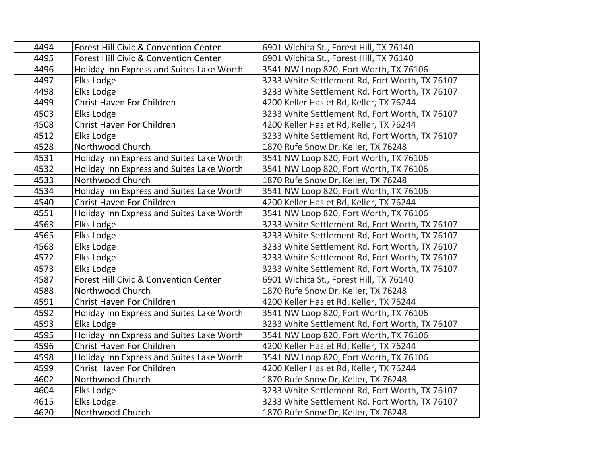| 4494 | Forest Hill Civic & Convention Center     | 6901 Wichita St., Forest Hill, TX 76140        |
|------|-------------------------------------------|------------------------------------------------|
| 4495 | Forest Hill Civic & Convention Center     | 6901 Wichita St., Forest Hill, TX 76140        |
| 4496 | Holiday Inn Express and Suites Lake Worth | 3541 NW Loop 820, Fort Worth, TX 76106         |
| 4497 | Elks Lodge                                | 3233 White Settlement Rd, Fort Worth, TX 76107 |
| 4498 | Elks Lodge                                | 3233 White Settlement Rd, Fort Worth, TX 76107 |
| 4499 | Christ Haven For Children                 | 4200 Keller Haslet Rd, Keller, TX 76244        |
| 4503 | Elks Lodge                                | 3233 White Settlement Rd, Fort Worth, TX 76107 |
| 4508 | Christ Haven For Children                 | 4200 Keller Haslet Rd, Keller, TX 76244        |
| 4512 | Elks Lodge                                | 3233 White Settlement Rd, Fort Worth, TX 76107 |
| 4528 | Northwood Church                          | 1870 Rufe Snow Dr, Keller, TX 76248            |
| 4531 | Holiday Inn Express and Suites Lake Worth | 3541 NW Loop 820, Fort Worth, TX 76106         |
| 4532 | Holiday Inn Express and Suites Lake Worth | 3541 NW Loop 820, Fort Worth, TX 76106         |
| 4533 | Northwood Church                          | 1870 Rufe Snow Dr, Keller, TX 76248            |
| 4534 | Holiday Inn Express and Suites Lake Worth | 3541 NW Loop 820, Fort Worth, TX 76106         |
| 4540 | Christ Haven For Children                 | 4200 Keller Haslet Rd, Keller, TX 76244        |
| 4551 | Holiday Inn Express and Suites Lake Worth | 3541 NW Loop 820, Fort Worth, TX 76106         |
| 4563 | Elks Lodge                                | 3233 White Settlement Rd, Fort Worth, TX 76107 |
| 4565 | Elks Lodge                                | 3233 White Settlement Rd, Fort Worth, TX 76107 |
| 4568 | Elks Lodge                                | 3233 White Settlement Rd, Fort Worth, TX 76107 |
| 4572 | Elks Lodge                                | 3233 White Settlement Rd, Fort Worth, TX 76107 |
| 4573 | Elks Lodge                                | 3233 White Settlement Rd, Fort Worth, TX 76107 |
| 4587 | Forest Hill Civic & Convention Center     | 6901 Wichita St., Forest Hill, TX 76140        |
| 4588 | Northwood Church                          | 1870 Rufe Snow Dr, Keller, TX 76248            |
| 4591 | Christ Haven For Children                 | 4200 Keller Haslet Rd, Keller, TX 76244        |
| 4592 | Holiday Inn Express and Suites Lake Worth | 3541 NW Loop 820, Fort Worth, TX 76106         |
| 4593 | Elks Lodge                                | 3233 White Settlement Rd, Fort Worth, TX 76107 |
| 4595 | Holiday Inn Express and Suites Lake Worth | 3541 NW Loop 820, Fort Worth, TX 76106         |
| 4596 | <b>Christ Haven For Children</b>          | 4200 Keller Haslet Rd, Keller, TX 76244        |
| 4598 | Holiday Inn Express and Suites Lake Worth | 3541 NW Loop 820, Fort Worth, TX 76106         |
| 4599 | Christ Haven For Children                 | 4200 Keller Haslet Rd, Keller, TX 76244        |
| 4602 | Northwood Church                          | 1870 Rufe Snow Dr, Keller, TX 76248            |
| 4604 | Elks Lodge                                | 3233 White Settlement Rd, Fort Worth, TX 76107 |
| 4615 | Elks Lodge                                | 3233 White Settlement Rd, Fort Worth, TX 76107 |
| 4620 | Northwood Church                          | 1870 Rufe Snow Dr, Keller, TX 76248            |